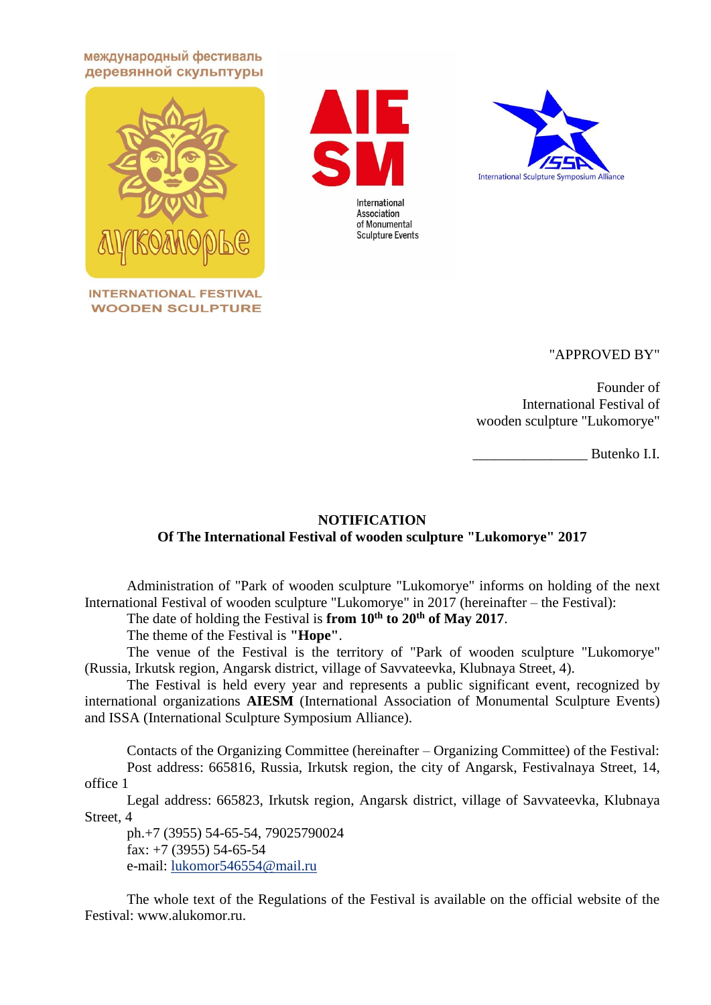международный фестиваль деревянной скульптуры



**INTERNATIONAL FESTIVAL WOODEN SCULPTURE** 





"APPROVED BY"

Founder of International Festival of wooden sculpture "Lukomorye"

\_\_\_\_\_\_\_\_\_\_\_\_\_\_\_\_ Butenko I.I.

## **NOTIFICATION Of The International Festival of wooden sculpture "Lukomorye" 2017**

Administration of "Park of wooden sculpture "Lukomorye" informs on holding of the next International Festival of wooden sculpture "Lukomorye" in 2017 (hereinafter – the Festival):

The date of holding the Festival is **from 10th to 20th of May 2017**.

The theme of the Festival is **"Hope"**.

The venue of the Festival is the territory of "Park of wooden sculpture "Lukomorye" (Russia, Irkutsk region, Angarsk district, village of Savvateevka, Klubnaya Street, 4).

The Festival is held every year and represents a public significant event, recognized by international organizations **AIESM** (International Association of Monumental Sculpture Events) and ISSA (International Sculpture Symposium Alliance).

Contacts of the Organizing Committee (hereinafter – Organizing Committee) of the Festival: Post address: 665816, Russia, Irkutsk region, the city of Angarsk, Festivalnaya Street, 14, office 1

Legal address: 665823, Irkutsk region, Angarsk district, village of Savvateevka, Klubnaya Street, 4

ph.+7 (3955) 54-65-54, 79025790024 fax:  $+7$  (3955) 54-65-54 e-mail: [lukomor546554@mail.ru](mailto:lukomor546554@mail.ru)

The whole text of the Regulations of the Festival is available on the official website of the Festival: www.alukomor.ru.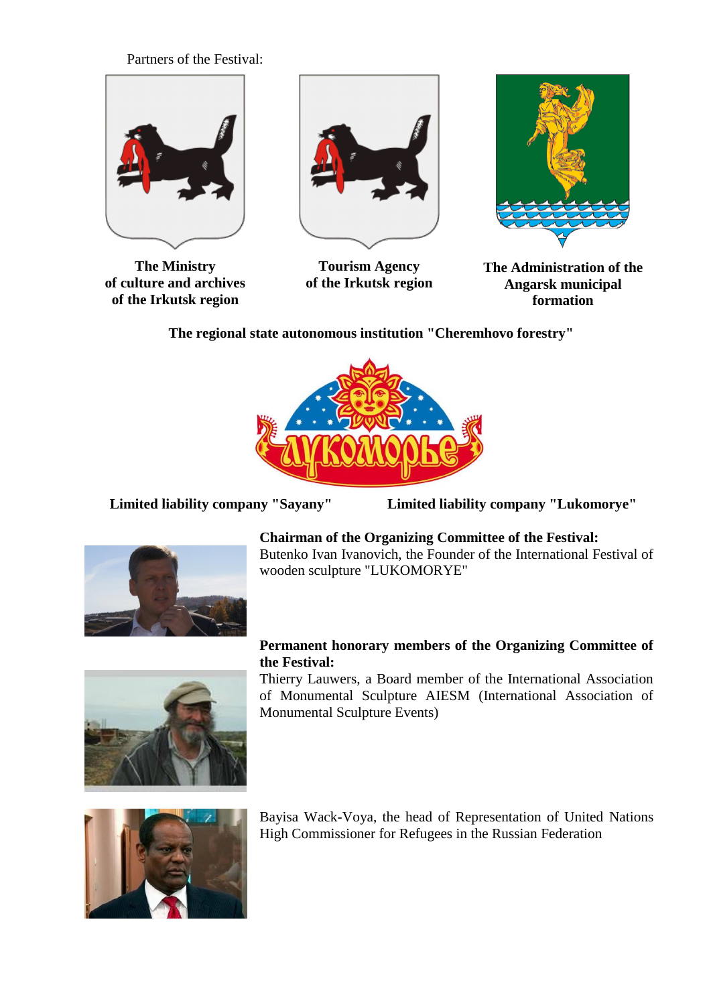Partners of the Festival:



**The Ministry of culture and archives of the Irkutsk region**



**Tourism Agency of the Irkutsk region**



**The Administration of the Angarsk municipal formation**

**The regional state autonomous institution "Cheremhovo forestry"**



**Limited liability company "Sayany" Limited liability company "Lukomorye"**



**Chairman of the Organizing Committee of the Festival:** Butenko Ivan Ivanovich, the Founder of the International Festival of wooden sculpture "LUKOMORYE"

## **Permanent honorary members of the Organizing Committee of the Festival:**

Thierry Lauwers, a Board member of the International Association of Monumental Sculpture AIESM (International Association of Monumental Sculpture Events)



Bayisa Wack-Voya, the head of Representation of United Nations High Commissioner for Refugees in the Russian Federation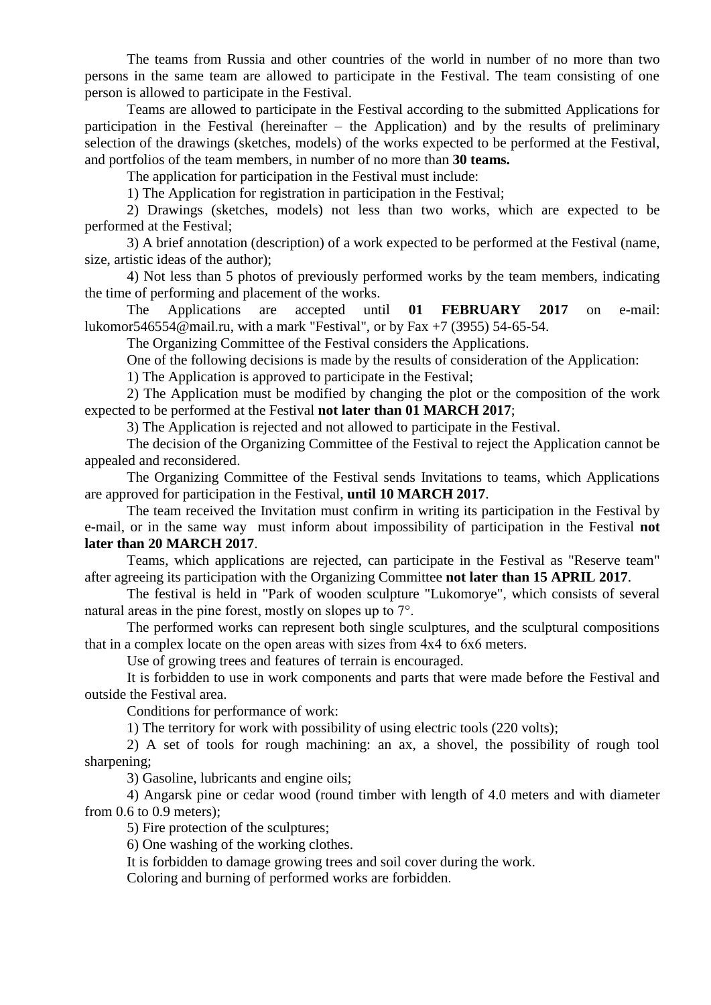The teams from Russia and other countries of the world in number of no more than two persons in the same team are allowed to participate in the Festival. The team consisting of one person is allowed to participate in the Festival.

Teams are allowed to participate in the Festival according to the submitted Applications for participation in the Festival (hereinafter – the Application) and by the results of preliminary selection of the drawings (sketches, models) of the works expected to be performed at the Festival, and portfolios of the team members, in number of no more than **30 teams.**

The application for participation in the Festival must include:

1) The Application for registration in participation in the Festival;

2) Drawings (sketches, models) not less than two works, which are expected to be performed at the Festival;

3) A brief annotation (description) of a work expected to be performed at the Festival (name, size, artistic ideas of the author);

4) Not less than 5 photos of previously performed works by the team members, indicating the time of performing and placement of the works.

The Applications are accepted until **01 FEBRUARY 2017** on e-mail: lukomor546554@mail.ru, with a mark "Festival", or by Fax +7 (3955) 54-65-54.

The Organizing Committee of the Festival considers the Applications.

One of the following decisions is made by the results of consideration of the Application:

1) The Application is approved to participate in the Festival;

2) The Application must be modified by changing the plot or the composition of the work expected to be performed at the Festival **not later than 01 MARCH 2017**;

3) The Application is rejected and not allowed to participate in the Festival.

The decision of the Organizing Committee of the Festival to reject the Application cannot be appealed and reconsidered.

The Organizing Committee of the Festival sends Invitations to teams, which Applications are approved for participation in the Festival, **until 10 MARCH 2017**.

The team received the Invitation must confirm in writing its participation in the Festival by e-mail, or in the same way must inform about impossibility of participation in the Festival **not later than 20 MARCH 2017**.

Teams, which applications are rejected, can participate in the Festival as "Reserve team" after agreeing its participation with the Organizing Committee **not later than 15 APRIL 2017**.

The festival is held in "Park of wooden sculpture "Lukomorye", which consists of several natural areas in the pine forest, mostly on slopes up to 7°.

The performed works can represent both single sculptures, and the sculptural compositions that in a complex locate on the open areas with sizes from 4х4 to 6х6 meters.

Use of growing trees and features of terrain is encouraged.

It is forbidden to use in work components and parts that were made before the Festival and outside the Festival area.

Conditions for performance of work:

1) The territory for work with possibility of using electric tools (220 volts);

2) A set of tools for rough machining: an ax, a shovel, the possibility of rough tool sharpening;

3) Gasoline, lubricants and engine oils;

4) Angarsk pine or cedar wood (round timber with length of 4.0 meters and with diameter from 0.6 to 0.9 meters);

5) Fire protection of the sculptures;

6) One washing of the working clothes.

It is forbidden to damage growing trees and soil cover during the work.

Coloring and burning of performed works are forbidden.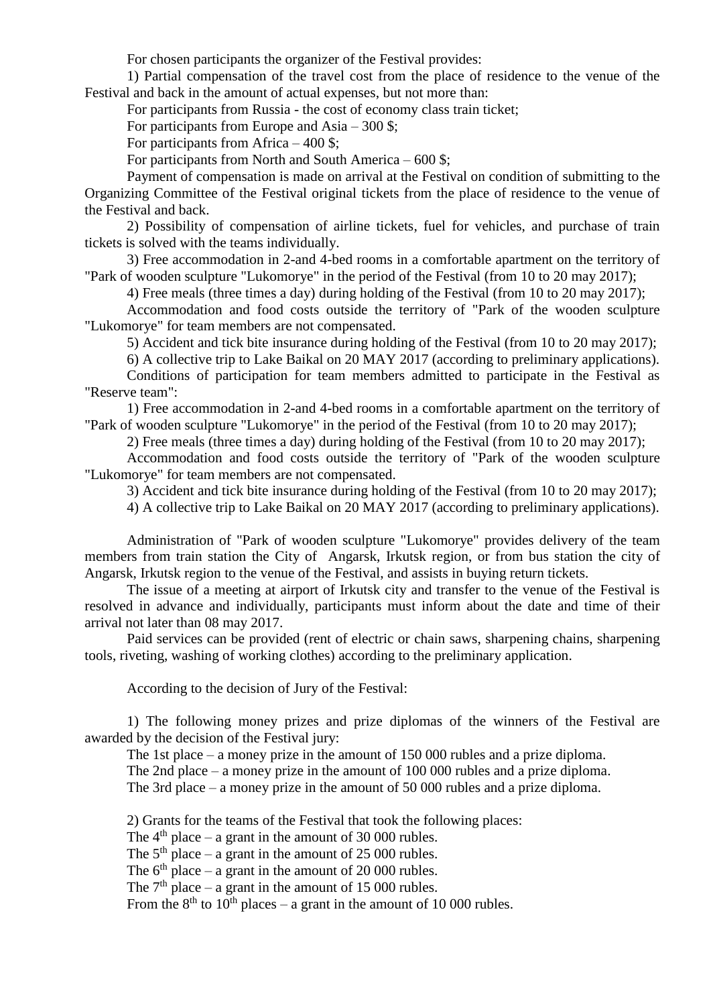For chosen participants the organizer of the Festival provides:

1) Partial compensation of the travel cost from the place of residence to the venue of the Festival and back in the amount of actual expenses, but not more than:

For participants from Russia - the cost of economy class train ticket;

For participants from Europe and Asia – 300 \$;

For participants from Africa – 400 \$;

For participants from North and South America –  $600$  \$;

Payment of compensation is made on arrival at the Festival on condition of submitting to the Organizing Committee of the Festival original tickets from the place of residence to the venue of the Festival and back.

2) Possibility of compensation of airline tickets, fuel for vehicles, and purchase of train tickets is solved with the teams individually.

3) Free accommodation in 2-and 4-bed rooms in a comfortable apartment on the territory of "Park of wooden sculpture "Lukomorye" in the period of the Festival (from 10 to 20 may 2017);

4) Free meals (three times a day) during holding of the Festival (from 10 to 20 may 2017);

Accommodation and food costs outside the territory of "Park of the wooden sculpture "Lukomorye" for team members are not compensated.

5) Accident and tick bite insurance during holding of the Festival (from 10 to 20 may 2017);

6) A collective trip to Lake Baikal on 20 MAY 2017 (according to preliminary applications).

Conditions of participation for team members admitted to participate in the Festival as "Reserve team":

1) Free accommodation in 2-and 4-bed rooms in a comfortable apartment on the territory of "Park of wooden sculpture "Lukomorye" in the period of the Festival (from 10 to 20 may 2017);

2) Free meals (three times a day) during holding of the Festival (from 10 to 20 may 2017);

Accommodation and food costs outside the territory of "Park of the wooden sculpture "Lukomorye" for team members are not compensated.

3) Accident and tick bite insurance during holding of the Festival (from 10 to 20 may 2017);

4) A collective trip to Lake Baikal on 20 MAY 2017 (according to preliminary applications).

Administration of "Park of wooden sculpture "Lukomorye" provides delivery of the team members from train station the City of Angarsk, Irkutsk region, or from bus station the city of Angarsk, Irkutsk region to the venue of the Festival, and assists in buying return tickets.

The issue of a meeting at airport of Irkutsk city and transfer to the venue of the Festival is resolved in advance and individually, participants must inform about the date and time of their arrival not later than 08 may 2017.

Paid services can be provided (rent of electric or chain saws, sharpening chains, sharpening tools, riveting, washing of working clothes) according to the preliminary application.

According to the decision of Jury of the Festival:

1) The following money prizes and prize diplomas of the winners of the Festival are awarded by the decision of the Festival jury:

The 1st place – a money prize in the amount of 150 000 rubles and a prize diploma.

The 2nd place – a money prize in the amount of 100 000 rubles and a prize diploma.

The 3rd place – a money prize in the amount of 50 000 rubles and a prize diploma.

2) Grants for the teams of the Festival that took the following places:

The  $4<sup>th</sup>$  place – a grant in the amount of 30 000 rubles.

The  $5<sup>th</sup>$  place – a grant in the amount of 25 000 rubles.

The  $6<sup>th</sup>$  place – a grant in the amount of 20 000 rubles.

The  $7<sup>th</sup>$  place – a grant in the amount of 15 000 rubles.

From the  $8<sup>th</sup>$  to 10<sup>th</sup> places – a grant in the amount of 10 000 rubles.